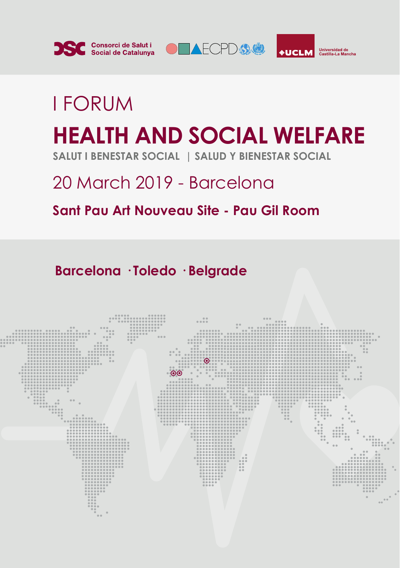





# I FORUM **HEALTH AND SOCIAL WELFARE SALUT I BENESTAR SOCIAL | SALUD Y BIENESTAR SOCIAL**

## 20 March 2019 - Barcelona

## **Sant Pau Art Nouveau Site - Pau Gil Room**

**Barcelona · Toledo · Belgrade**

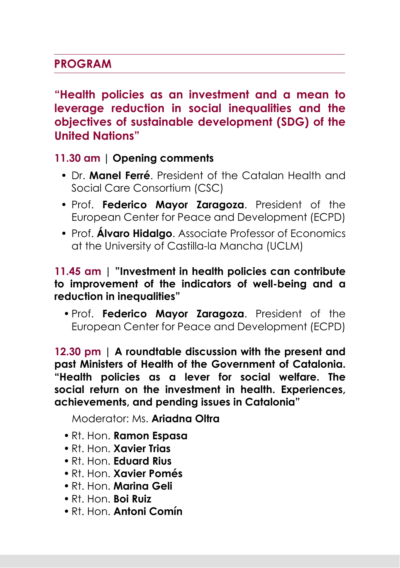### **PROGRAM**

**"Health policies as an investment and a mean to leverage reduction in social inequalities and the objectives of sustainable development (SDG) of the United Nations"**

**11.30 am | Opening comments** 

- Dr. **Manel Ferré**. President of the Catalan Health and Social Care Consortium (CSC)
- Prof. **Federico Mayor Zaragoza**. President of the European Center for Peace and Development (ECPD)
- Prof. **Álvaro Hidalgo**. Associate Professor of Economics at the University of Castilla-la Mancha (UCLM)

#### **11.45 am | "Investment in health policies can contribute to improvement of the indicators of well-being and a reduction in inequalities"**

• Prof. **Federico Mayor Zaragoza**. President of the European Center for Peace and Development (ECPD)

**12.30 pm | A roundtable discussion with the present and past Ministers of Health of the Government of Catalonia. "Health policies as a lever for social welfare. The social return on the investment in health. Experiences, achievements, and pending issues in Catalonia"**

Moderator: Ms. **Ariadna Oltra**

- Rt. Hon. **Ramon Espasa**
- Rt. Hon. **Xavier Trias**
- Rt. Hon. **Eduard Rius**
- Rt. Hon. **Xavier Pomés**
- Rt. Hon. **Marina Geli**
- Rt. Hon. **Boi Ruiz**
- Rt. Hon. **Antoni Comín**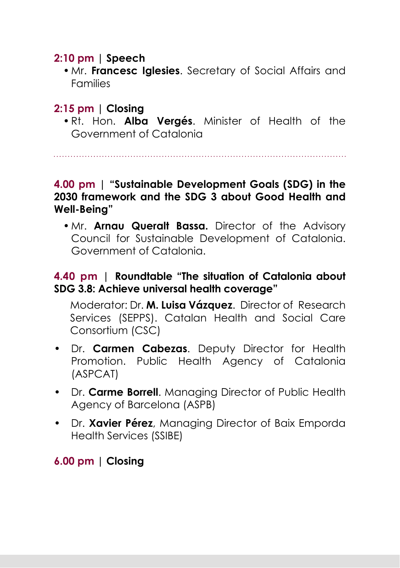### **2:10 pm | Speech**

• Mr. **Francesc Iglesies**. Secretary of Social Affairs and Families

### **2:15 pm | Closing**

• Rt. Hon. **Alba Vergés**. Minister of Health of the Government of Catalonia

#### **4.00 pm | "Sustainable Development Goals (SDG) in the 2030 framework and the SDG 3 about Good Health and Well-Being"**

• Mr. **Arnau Queralt Bassa.** Director of the Advisory Council for Sustainable Development of Catalonia. Government of Catalonia.

#### **4.40 pm | Roundtable "The situation of Catalonia about SDG 3.8: Achieve universal health coverage"**

Moderator: Dr. **M. Luisa Vázquez**. Director of Research Services (SEPPS). Catalan Health and Social Care Consortium (CSC)

- Dr. **Carmen Cabezas**. Deputy Director for Health Promotion. Public Health Agency of Catalonia (ASPCAT)
- Dr. **Carme Borrell**. Managing Director of Public Health Agency of Barcelona (ASPB)
- Dr. **Xavier Pérez**, Managing Director of Baix Emporda Health Services (SSIBE)

#### **6.00 pm | Closing**